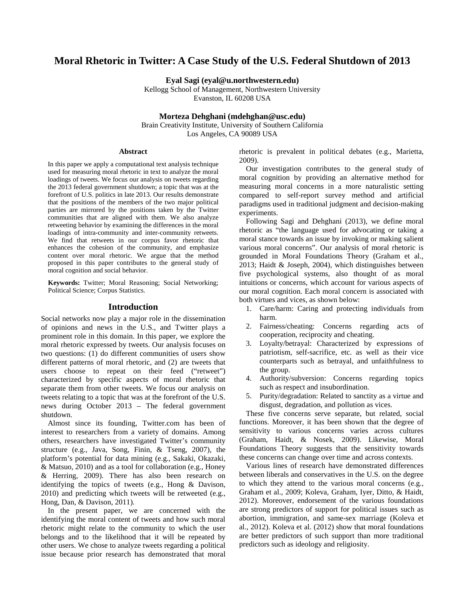# **Moral Rhetoric in Twitter: A Case Study of the U.S. Federal Shutdown of 2013**

**Eyal Sagi (eyal@u.northwestern.edu)**

Kellogg School of Management, Northwestern University Evanston, IL 60208 USA

### **Morteza Dehghani (mdehghan@usc.edu)**

Brain Creativity Institute, University of Southern California Los Angeles, CA 90089 USA

### **Abstract**

In this paper we apply a computational text analysis technique used for measuring moral rhetoric in text to analyze the moral loadings of tweets. We focus our analysis on tweets regarding the 2013 federal government shutdown; a topic that was at the forefront of U.S. politics in late 2013. Our results demonstrate that the positions of the members of the two major political parties are mirrored by the positions taken by the Twitter communities that are aligned with them. We also analyze retweeting behavior by examining the differences in the moral loadings of intra-community and inter-community retweets. We find that retweets in our corpus favor rhetoric that enhances the cohesion of the community, and emphasize content over moral rhetoric. We argue that the method proposed in this paper contributes to the general study of moral cognition and social behavior.

**Keywords:** Twitter; Moral Reasoning; Social Networking; Political Science; Corpus Statistics.

### **Introduction**

Social networks now play a major role in the dissemination of opinions and news in the U.S., and Twitter plays a prominent role in this domain. In this paper, we explore the moral rhetoric expressed by tweets. Our analysis focuses on two questions: (1) do different communities of users show different patterns of moral rhetoric, and (2) are tweets that users choose to repeat on their feed ("retweet") characterized by specific aspects of moral rhetoric that separate them from other tweets. We focus our analysis on tweets relating to a topic that was at the forefront of the U.S. news during October 2013 – The federal government shutdown.

Almost since its founding, Twitter.com has been of interest to researchers from a variety of domains. Among others, researchers have investigated Twitter's community structure (e.g., Java, Song, Finin, & Tseng, 2007), the platform's potential for data mining (e.g., Sakaki, Okazaki, & Matsuo, 2010) and as a tool for collaboration (e.g., Honey & Herring, 2009). There has also been research on identifying the topics of tweets (e.g., Hong & Davison, 2010) and predicting which tweets will be retweeted (e.g., Hong, Dan, & Davison, 2011).

In the present paper, we are concerned with the identifying the moral content of tweets and how such moral rhetoric might relate to the community to which the user belongs and to the likelihood that it will be repeated by other users. We chose to analyze tweets regarding a political issue because prior research has demonstrated that moral rhetoric is prevalent in political debates (e.g., Marietta, 2009).

Our investigation contributes to the general study of moral cognition by providing an alternative method for measuring moral concerns in a more naturalistic setting compared to self-report survey method and artificial paradigms used in traditional judgment and decision-making experiments.

Following Sagi and Dehghani (2013), we define moral rhetoric as "the language used for advocating or taking a moral stance towards an issue by invoking or making salient various moral concerns". Our analysis of moral rhetoric is grounded in Moral Foundations Theory (Graham et al., 2013; Haidt & Joseph, 2004), which distinguishes between five psychological systems, also thought of as moral intuitions or concerns, which account for various aspects of our moral cognition. Each moral concern is associated with both virtues and vices, as shown below:

- 1. Care/harm: Caring and protecting individuals from harm.
- 2. Fairness/cheating: Concerns regarding acts of cooperation, reciprocity and cheating.
- 3. Loyalty/betrayal: Characterized by expressions of patriotism, self-sacrifice, etc. as well as their vice counterparts such as betrayal, and unfaithfulness to the group.
- 4. Authority/subversion: Concerns regarding topics such as respect and insubordination.
- 5. Purity/degradation: Related to sanctity as a virtue and disgust, degradation, and pollution as vices.

These five concerns serve separate, but related, social functions. Moreover, it has been shown that the degree of sensitivity to various concerns varies across cultures (Graham, Haidt, & Nosek, 2009). Likewise, Moral Foundations Theory suggests that the sensitivity towards these concerns can change over time and across contexts.

Various lines of research have demonstrated differences between liberals and conservatives in the U.S. on the degree to which they attend to the various moral concerns (e.g., Graham et al., 2009; Koleva, Graham, Iyer, Ditto, & Haidt, 2012). Moreover, endorsement of the various foundations are strong predictors of support for political issues such as abortion, immigration, and same-sex marriage (Koleva et al., 2012). Koleva et al. (2012) show that moral foundations are better predictors of such support than more traditional predictors such as ideology and religiosity.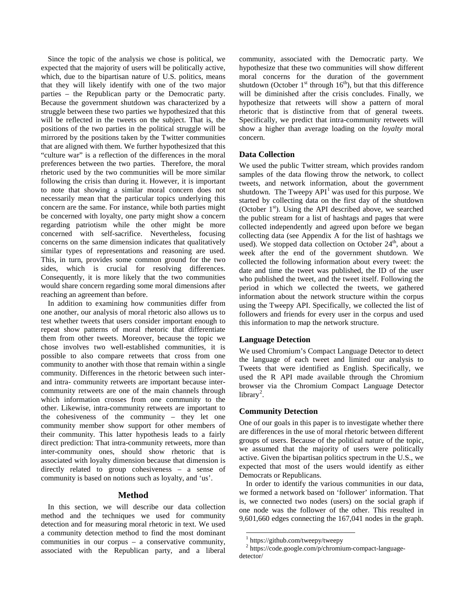Since the topic of the analysis we chose is political, we expected that the majority of users will be politically active, which, due to the bipartisan nature of U.S. politics, means that they will likely identify with one of the two major parties – the Republican party or the Democratic party. Because the government shutdown was characterized by a struggle between these two parties we hypothesized that this will be reflected in the tweets on the subject. That is, the positions of the two parties in the political struggle will be mirrored by the positions taken by the Twitter communities that are aligned with them. We further hypothesized that this "culture war" is a reflection of the differences in the moral preferences between the two parties. Therefore, the moral rhetoric used by the two communities will be more similar following the crisis than during it. However, it is important to note that showing a similar moral concern does not necessarily mean that the particular topics underlying this concern are the same. For instance, while both parties might be concerned with loyalty, one party might show a concern regarding patriotism while the other might be more concerned with self-sacrifice. Nevertheless, focusing concerns on the same dimension indicates that qualitatively similar types of representations and reasoning are used. This, in turn, provides some common ground for the two sides, which is crucial for resolving differences. Consequently, it is more likely that the two communities would share concern regarding some moral dimensions after reaching an agreement than before.

In addition to examining how communities differ from one another, our analysis of moral rhetoric also allows us to test whether tweets that users consider important enough to repeat show patterns of moral rhetoric that differentiate them from other tweets. Moreover, because the topic we chose involves two well-established communities, it is possible to also compare retweets that cross from one community to another with those that remain within a single community. Differences in the rhetoric between such interand intra- community retweets are important because intercommunity retweets are one of the main channels through which information crosses from one community to the other. Likewise, intra-community retweets are important to the cohesiveness of the community – they let one community member show support for other members of their community. This latter hypothesis leads to a fairly direct prediction: That intra-community retweets, more than inter-community ones, should show rhetoric that is associated with loyalty dimension because that dimension is directly related to group cohesiveness – a sense of community is based on notions such as loyalty, and 'us'.

### **Method**

<span id="page-1-1"></span><span id="page-1-0"></span>In this section, we will describe our data collection method and the techniques we used for community detection and for measuring moral rhetoric in text. We used a community detection method to find the most dominant communities in our corpus – a conservative community, associated with the Republican party, and a liberal

community, associated with the Democratic party. We hypothesize that these two communities will show different moral concerns for the duration of the government shutdown (October  $1<sup>st</sup>$  through  $16<sup>th</sup>$ ), but that this difference will be diminished after the crisis concludes. Finally, we hypothesize that retweets will show a pattern of moral rhetoric that is distinctive from that of general tweets. Specifically, we predict that intra-community retweets will show a higher than average loading on the *loyalty* moral concern.

## **Data Collection**

We used the public Twitter stream, which provides random samples of the data flowing throw the network, to collect tweets, and network information, about the government shutdown. The Tweepy  $API<sup>1</sup>$  $API<sup>1</sup>$  $API<sup>1</sup>$  was used for this purpose. We started by collecting data on the first day of the shutdown (October  $1<sup>st</sup>$ ). Using the API described above, we searched the public stream for a list of hashtags and pages that were collected independently and agreed upon before we began collecting data (see Appendix A for the list of hashtags we used). We stopped data collection on October  $24<sup>th</sup>$ , about a week after the end of the government shutdown. We collected the following information about every tweet: the date and time the tweet was published, the ID of the user who published the tweet, and the tweet itself. Following the period in which we collected the tweets, we gathered information about the network structure within the corpus using the Tweepy API. Specifically, we collected the list of followers and friends for every user in the corpus and used this information to map the network structure.

#### **Language Detection**

We used Chromium's Compact Language Detector to detect the language of each tweet and limited our analysis to Tweets that were identified as English. Specifically, we used the R API made available through the Chromium browser via the Chromium Compact Language Detector library<sup>[2](#page-1-1)</sup>.

#### **Community Detection**

One of our goals in this paper is to investigate whether there are differences in the use of moral rhetoric between different groups of users. Because of the political nature of the topic, we assumed that the majority of users were politically active. Given the bipartisan politics spectrum in the U.S., we expected that most of the users would identify as either Democrats or Republicans.

In order to identify the various communities in our data, we formed a network based on 'follower' information. That is, we connected two nodes (users) on the social graph if one node was the follower of the other. This resulted in 9,601,660 edges connecting the 167,041 nodes in the graph.

 $\frac{1}{1}$  https://github.com/tweepy/tweepy

<sup>2</sup> https://code.google.com/p/chromium-compact-languagedetector/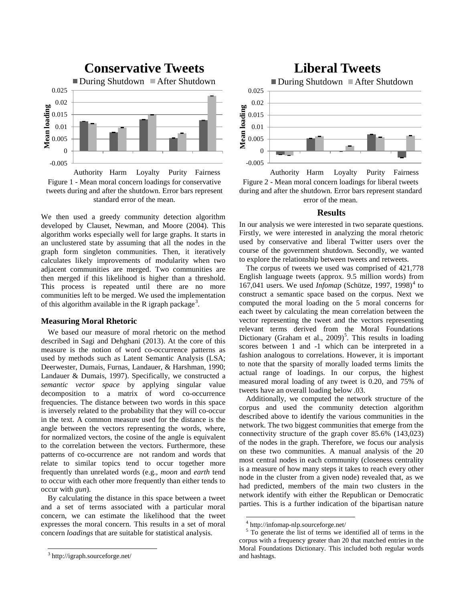



We then used a greedy community detection algorithm developed by Clauset, Newman, and Moore (2004). This algorithm works especially well for large graphs. It starts in an unclustered state by assuming that all the nodes in the graph form singleton communities. Then, it iteratively calculates likely improvements of modularity when two adjacent communities are merged. Two communities are then merged if this likelihood is higher than a threshold. This process is repeated until there are no more communities left to be merged. We used the implementation of this algorithm available in the R igraph package<sup>[3](#page-2-0)</sup>.

### **Measuring Moral Rhetoric**

We based our measure of moral rhetoric on the method described in Sagi and Dehghani (2013). At the core of this measure is the notion of word co-occurrence patterns as used by methods such as Latent Semantic Analysis (LSA; Deerwester, Dumais, Furnas, Landauer, & Harshman, 1990; Landauer & Dumais, 1997). Specifically, we constructed a *semantic vector space* by applying singular value decomposition to a matrix of word co-occurrence frequencies. The distance between two words in this space is inversely related to the probability that they will co-occur in the text. A common measure used for the distance is the angle between the vectors representing the words, where, for normalized vectors, the cosine of the angle is equivalent to the correlation between the vectors. Furthermore, these patterns of co-occurrence are not random and words that relate to similar topics tend to occur together more frequently than unrelated words (e.g., *moon* and *earth* tend to occur with each other more frequently than either tends to occur with *gun*).

<span id="page-2-2"></span><span id="page-2-1"></span>By calculating the distance in this space between a tweet and a set of terms associated with a particular moral concern, we can estimate the likelihood that the tweet expresses the moral concern. This results in a set of moral concern *loadings* that are suitable for statistical analysis.



Figure 2 - Mean moral concern loadings for liberal tweets during and after the shutdown. Error bars represent standard error of the mean. Authority Harm Loyalty Purity Fairness

# **Results**

In our analysis we were interested in two separate questions. Firstly, we were interested in analyzing the moral rhetoric used by conservative and liberal Twitter users over the course of the government shutdown. Secondly, we wanted to explore the relationship between tweets and retweets.

The corpus of tweets we used was comprised of 421,778 English language tweets (approx. 9.5 million words) from 167,0[4](#page-2-1)1 users. We used *Infomap* (Schütze, 1997, 1998)<sup>4</sup> to construct a semantic space based on the corpus. Next we computed the moral loading on the 5 moral concerns for each tweet by calculating the mean correlation between the vector representing the tweet and the vectors representing relevant terms derived from the Moral Foundations Dictionary (Graham et al.,  $2009$ )<sup>[5](#page-2-2)</sup>. This results in loading scores between 1 and -1 which can be interpreted in a fashion analogous to correlations. However, it is important to note that the sparsity of morally loaded terms limits the actual range of loadings. In our corpus, the highest measured moral loading of any tweet is 0.20, and 75% of tweets have an overall loading below .03.

Additionally, we computed the network structure of the corpus and used the community detection algorithm described above to identify the various communities in the network. The two biggest communities that emerge from the connectivity structure of the graph cover 85.6% (143,023) of the nodes in the graph. Therefore, we focus our analysis on these two communities. A manual analysis of the 20 most central nodes in each community (closeness centrality is a measure of how many steps it takes to reach every other node in the cluster from a given node) revealed that, as we had predicted, members of the main two clusters in the network identify with either the Republican or Democratic parties. This is a further indication of the bipartisan nature

<span id="page-2-0"></span> <sup>3</sup> http://igraph.sourceforge.net/

 $^{4}$  http://infomap-nlp.sourceforge.net/<br>  $^{5}$  To generate the list of terms we identified all of terms in the corpus with a frequency greater than 20 that matched entries in the Moral Foundations Dictionary. This included both regular words and hashtags.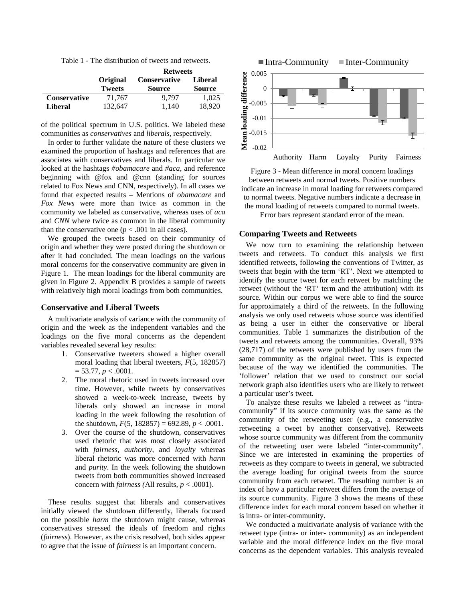Table 1 - The distribution of tweets and retweets.

|                     |               | <b>Retweets</b>     |               |
|---------------------|---------------|---------------------|---------------|
|                     | Original      | <b>Conservative</b> | Liberal       |
|                     | <b>Tweets</b> | <b>Source</b>       | <b>Source</b> |
| <b>Conservative</b> | 71,767        | 9.797               | 1,025         |
| <b>Liberal</b>      | 132,647       | 1.140               | 18,920        |

of the political spectrum in U.S. politics. We labeled these communities as *conservatives* and *liberals*, respectively.

In order to further validate the nature of these clusters we examined the proportion of hashtags and references that are associates with conservatives and liberals. In particular we looked at the hashtags *#obamacare* and *#aca*, and reference beginning with @fox and @cnn (standing for sources related to Fox News and CNN, respectively). In all cases we found that expected results – Mentions of *obamacare* and *Fox News* were more than twice as common in the community we labeled as conservative, whereas uses of *aca* and *CNN* where twice as common in the liberal community than the conservative one  $(p < .001$  in all cases).

We grouped the tweets based on their community of origin and whether they were posted during the shutdown or after it had concluded. The mean loadings on the various moral concerns for the conservative community are given in Figure 1. The mean loadings for the liberal community are given in Figure 2. Appendix B provides a sample of tweets with relatively high moral loadings from both communities.

#### **Conservative and Liberal Tweets**

A multivariate analysis of variance with the community of origin and the week as the independent variables and the loadings on the five moral concerns as the dependent variables revealed several key results:

- 1. Conservative tweeters showed a higher overall moral loading that liberal tweeters, *F*(5, 182857)  $= 53.77, p < .0001.$
- 2. The moral rhetoric used in tweets increased over time. However, while tweets by conservatives showed a week-to-week increase, tweets by liberals only showed an increase in moral loading in the week following the resolution of the shutdown,  $F(5, 182857) = 692.89, p < .0001$ .
- 3. Over the course of the shutdown, conservatives used rhetoric that was most closely associated with *fairness*, *authority*, and *loyalty* whereas liberal rhetoric was more concerned with *harm* and *purity*. In the week following the shutdown tweets from both communities showed increased concern with *fairness* (All results,  $p < .0001$ ).

These results suggest that liberals and conservatives initially viewed the shutdown differently, liberals focused on the possible *harm* the shutdown might cause, whereas conservatives stressed the ideals of freedom and rights (*fairness*). However, as the crisis resolved, both sides appear to agree that the issue of *fairness* is an important concern.



Figure 3 - Mean difference in moral concern loadings between retweets and normal tweets. Positive numbers indicate an increase in moral loading for retweets compared to normal tweets. Negative numbers indicate a decrease in the moral loading of retweets compared to normal tweets.

Error bars represent standard error of the mean.

#### **Comparing Tweets and Retweets**

We now turn to examining the relationship between tweets and retweets. To conduct this analysis we first identified retweets, following the conventions of Twitter, as tweets that begin with the term 'RT'. Next we attempted to identify the source tweet for each retweet by matching the retweet (without the 'RT' term and the attribution) with its source. Within our corpus we were able to find the source for approximately a third of the retweets. In the following analysis we only used retweets whose source was identified as being a user in either the conservative or liberal communities. Table 1 summarizes the distribution of the tweets and retweets among the communities. Overall, 93% (28,717) of the retweets were published by users from the same community as the original tweet. This is expected because of the way we identified the communities. The 'follower' relation that we used to construct our social network graph also identifies users who are likely to retweet a particular user's tweet.

To analyze these results we labeled a retweet as "intracommunity" if its source community was the same as the community of the retweeting user (e.g., a conservative retweeting a tweet by another conservative). Retweets whose source community was different from the community of the retweeting user were labeled "inter-community". Since we are interested in examining the properties of retweets as they compare to tweets in general, we subtracted the average loading for original tweets from the source community from each retweet. The resulting number is an index of how a particular retweet differs from the average of its source community. Figure 3 shows the means of these difference index for each moral concern based on whether it is intra- or inter-community.

We conducted a multivariate analysis of variance with the retweet type (intra- or inter- community) as an independent variable and the moral difference index on the five moral concerns as the dependent variables. This analysis revealed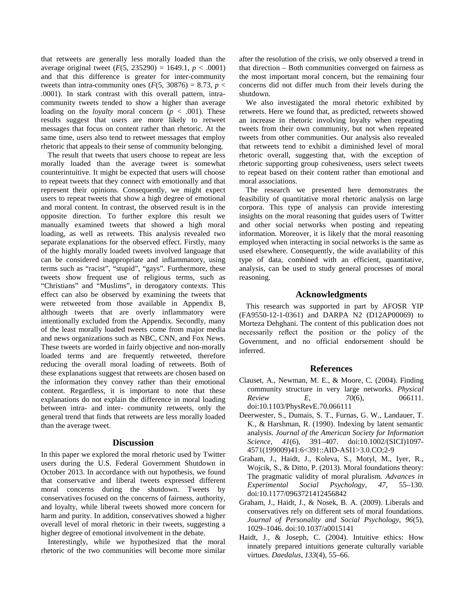that retweets are generally less morally loaded than the average original tweet  $(F(5, 235290) = 1649.1, p < .0001)$ and that this difference is greater for inter-community tweets than intra-community ones  $(F(5, 30876) = 8.73, p <$ .0001). In stark contrast with this overall pattern, intracommunity tweets tended to show a higher than average loading on the *loyalty* moral concern (*p* < .001). These results suggest that users are more likely to retweet messages that focus on content rather than rhetoric. At the same time, users also tend to retweet messages that employ rhetoric that appeals to their sense of community belonging.

The result that tweets that users choose to repeat are less morally loaded than the average tweet is somewhat counterintuitive. It might be expected that users will choose to repeat tweets that they connect with emotionally and that represent their opinions. Consequently, we might expect users to repeat tweets that show a high degree of emotional and moral content. In contrast, the observed result is in the opposite direction. To further explore this result we manually examined tweets that showed a high moral loading, as well as retweets. This analysis revealed two separate explanations for the observed effect. Firstly, many of the highly morally loaded tweets involved language that can be considered inappropriate and inflammatory, using terms such as "racist", "stupid", "gays". Furthermore, these tweets show frequent use of religious terms, such as "Christians" and "Muslims", in derogatory contexts. This effect can also be observed by examining the tweets that were retweeted from those available in Appendix B, although tweets that are overly inflammatory were intentionally excluded from the Appendix. Secondly, many of the least morally loaded tweets come from major media and news organizations such as NBC, CNN, and Fox News. These tweets are worded in fairly objective and non-morally loaded terms and are frequently retweeted, therefore reducing the overall moral loading of retweets. Both of these explanations suggest that retweets are chosen based on the information they convey rather than their emotional content. Regardless, it is important to note that these explanations do not explain the difference in moral loading between intra- and inter- community retweets, only the general trend that finds that retweets are less morally loaded than the average tweet.

### **Discussion**

In this paper we explored the moral rhetoric used by Twitter users during the U.S. Federal Government Shutdown in October 2013. In accordance with out hypothesis, we found that conservative and liberal tweets expressed different moral concerns during the shutdown. Tweets by conservatives focused on the concerns of fairness, authority, and loyalty, while liberal tweets showed more concern for harm and purity. In addition, conservatives showed a higher overall level of moral rhetoric in their tweets, suggesting a higher degree of emotional involvement in the debate.

Interestingly, while we hypothesized that the moral rhetoric of the two communities will become more similar after the resolution of the crisis, we only observed a trend in that direction – Both communities converged on fairness as the most important moral concern, but the remaining four concerns did not differ much from their levels during the shutdown.

We also investigated the moral rhetoric exhibited by retweets. Here we found that, as predicted, retweets showed an increase in rhetoric involving loyalty when repeating tweets from their own community, but not when repeated tweets from other communities. Our analysis also revealed that retweets tend to exhibit a diminished level of moral rhetoric overall, suggesting that, with the exception of rhetoric supporting group cohesiveness, users select tweets to repeat based on their content rather than emotional and moral associations.

The research we presented here demonstrates the feasibility of quantitative moral rhetoric analysis on large corpora. This type of analysis can provide interesting insights on the moral reasoning that guides users of Twitter and other social networks when posting and repeating information. Moreover, it is likely that the moral reasoning employed when interacting in social networks is the same as used elsewhere. Consequently, the wide availability of this type of data, combined with an efficient, quantitative, analysis, can be used to study general processes of moral reasoning.

# **Acknowledgments**

This research was supported in part by AFOSR YIP (FA9550-12-1-0361) and DARPA N2 (D12AP00069) to Morteza Dehghani. The content of this publication does not necessarily reflect the position or the policy of the Government, and no official endorsement should be inferred.

# **References**

- Clauset, A., Newman, M. E., & Moore, C. (2004). Finding community structure in very large networks. *Physical Review E*, *70*(6), 066111. doi:10.1103/PhysRevE.70.066111
- Deerwester, S., Dumais, S. T., Furnas, G. W., Landauer, T. K., & Harshman, R. (1990). Indexing by latent semantic analysis. *Journal of the American Society for Information Science*, *41*(6), 391–407. doi:10.1002/(SICI)1097- 4571(199009)41:6<391::AID-ASI1>3.0.CO;2-9
- Graham, J., Haidt, J., Koleva, S., Motyl, M., Iyer, R., Wojcik, S., & Ditto, P. (2013). Moral foundations theory: The pragmatic validity of moral pluralism. *Advances in Experimental Social Psychology*, *47*, 55–130. doi:10.1177/0963721412456842
- Graham, J., Haidt, J., & Nosek, B. A. (2009). Liberals and conservatives rely on different sets of moral foundations. *Journal of Personality and Social Psychology*, *96*(5), 1029–1046. doi:10.1037/a0015141
- Haidt, J., & Joseph, C. (2004). Intuitive ethics: How innately prepared intuitions generate culturally variable virtues. *Daedalus*, *133*(4), 55–66.